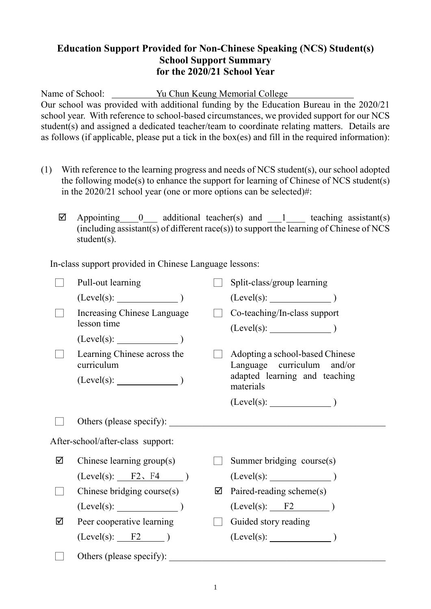## **Education Support Provided for Non-Chinese Speaking (NCS) Student(s) School Support Summary for the 2020/21 School Year**

Name of School: Yu Chun Keung Memorial College Our school was provided with additional funding by the Education Bureau in the 2020/21 school year. With reference to school-based circumstances, we provided support for our NCS student(s) and assigned a dedicated teacher/team to coordinate relating matters. Details are as follows (if applicable, please put a tick in the box(es) and fill in the required information):

- (1) With reference to the learning progress and needs of NCS student(s), our school adopted the following mode(s) to enhance the support for learning of Chinese of NCS student(s) in the 2020/21 school year (one or more options can be selected)#:
	- $\boxtimes$  Appointing 0\_\_\_\_ additional teacher(s) and 1\_\_\_\_\_\_ teaching assistant(s)  $(i\text{including assistant}(s)$  of different race(s)) to support the learning of Chinese of NCS student(s).

In-class support provided in Chinese Language lessons:

|                                   | Pull-out learning                                             |   | Split-class/group learning                                                                                  |
|-----------------------------------|---------------------------------------------------------------|---|-------------------------------------------------------------------------------------------------------------|
|                                   | $(Level(s):$ $)$                                              |   | $(Level(s):$ $)$                                                                                            |
|                                   | Increasing Chinese Language<br>lesson time                    |   | Co-teaching/In-class support                                                                                |
|                                   | (Level(s):                                                    |   |                                                                                                             |
|                                   | Learning Chinese across the<br>curriculum<br>$(Level(s):$ $)$ |   | Adopting a school-based Chinese<br>Language curriculum and/or<br>adapted learning and teaching<br>materials |
|                                   |                                                               |   |                                                                                                             |
|                                   |                                                               |   |                                                                                                             |
|                                   | Others (please specify):                                      |   |                                                                                                             |
| After-school/after-class support: |                                                               |   |                                                                                                             |
| ☑                                 | Chinese learning group(s)                                     |   | Summer bridging course(s)                                                                                   |
|                                   | $(Level(s):$ $F2 \cdot F4$ )                                  |   | $(Level(s):$ $)$                                                                                            |
|                                   | Chinese bridging course $(s)$                                 | ☑ | Paired-reading scheme(s)                                                                                    |
|                                   | $(Level(s):$ (Level(s):                                       |   | $(Level(s):$ $F2$ )                                                                                         |
| ☑                                 | Peer cooperative learning                                     |   | Guided story reading                                                                                        |
|                                   | $(Level(s):$ $F2$ )                                           |   | $(Level(s):$ $)$                                                                                            |
|                                   | Others (please specify):                                      |   |                                                                                                             |